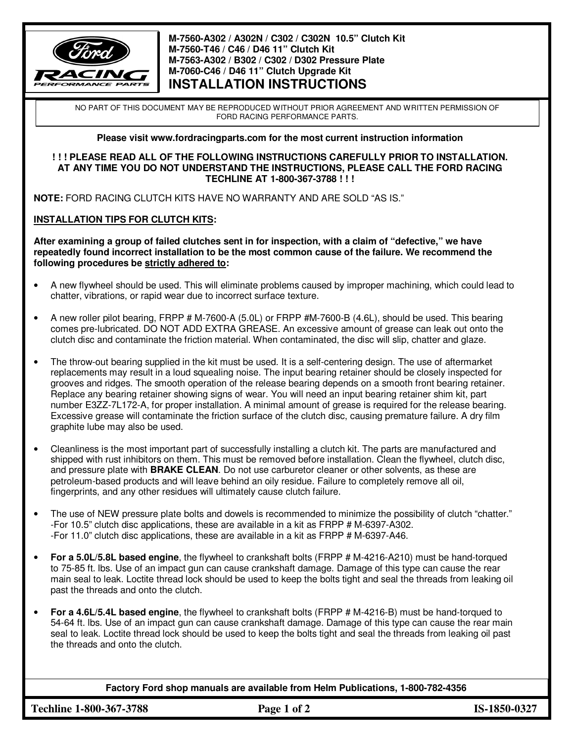

**M-7560-A302 / A302N / C302 / C302N 10.5" Clutch Kit M-7560-T46 / C46 / D46 11" Clutch Kit M-7563-A302 / B302 / C302 / D302 Pressure Plate M-7060-C46 / D46 11" Clutch Upgrade Kit INSTALLATION INSTRUCTIONS** 

NO PART OF THIS DOCUMENT MAY BE REPRODUCED WITHOUT PRIOR AGREEMENT AND WRITTEN PERMISSION OF FORD RACING PERFORMANCE PARTS.

## **Please visit www.fordracingparts.com for the most current instruction information**

## **! ! ! PLEASE READ ALL OF THE FOLLOWING INSTRUCTIONS CAREFULLY PRIOR TO INSTALLATION. AT ANY TIME YOU DO NOT UNDERSTAND THE INSTRUCTIONS, PLEASE CALL THE FORD RACING TECHLINE AT 1-800-367-3788 ! ! !**

**NOTE:** FORD RACING CLUTCH KITS HAVE NO WARRANTY AND ARE SOLD "AS IS."

## **INSTALLATION TIPS FOR CLUTCH KITS:**

**After examining a group of failed clutches sent in for inspection, with a claim of "defective," we have repeatedly found incorrect installation to be the most common cause of the failure. We recommend the following procedures be strictly adhered to:**

- A new flywheel should be used. This will eliminate problems caused by improper machining, which could lead to chatter, vibrations, or rapid wear due to incorrect surface texture.
- A new roller pilot bearing, FRPP # M-7600-A (5.0L) or FRPP #M-7600-B (4.6L), should be used. This bearing comes pre-lubricated. DO NOT ADD EXTRA GREASE. An excessive amount of grease can leak out onto the clutch disc and contaminate the friction material. When contaminated, the disc will slip, chatter and glaze.
- The throw-out bearing supplied in the kit must be used. It is a self-centering design. The use of aftermarket replacements may result in a loud squealing noise. The input bearing retainer should be closely inspected for grooves and ridges. The smooth operation of the release bearing depends on a smooth front bearing retainer. Replace any bearing retainer showing signs of wear. You will need an input bearing retainer shim kit, part number E3ZZ-7L172-A, for proper installation. A minimal amount of grease is required for the release bearing. Excessive grease will contaminate the friction surface of the clutch disc, causing premature failure. A dry film graphite lube may also be used.
- Cleanliness is the most important part of successfully installing a clutch kit. The parts are manufactured and shipped with rust inhibitors on them. This must be removed before installation. Clean the flywheel, clutch disc, and pressure plate with **BRAKE CLEAN**. Do not use carburetor cleaner or other solvents, as these are petroleum-based products and will leave behind an oily residue. Failure to completely remove all oil, fingerprints, and any other residues will ultimately cause clutch failure.
- The use of NEW pressure plate bolts and dowels is recommended to minimize the possibility of clutch "chatter." -For 10.5" clutch disc applications, these are available in a kit as FRPP # M-6397-A302. -For 11.0" clutch disc applications, these are available in a kit as FRPP # M-6397-A46.
- **For a 5.0L/5.8L based engine**, the flywheel to crankshaft bolts (FRPP # M-4216-A210) must be hand-torqued to 75-85 ft. lbs. Use of an impact gun can cause crankshaft damage. Damage of this type can cause the rear main seal to leak. Loctite thread lock should be used to keep the bolts tight and seal the threads from leaking oil past the threads and onto the clutch.
- **For a 4.6L/5.4L based engine**, the flywheel to crankshaft bolts (FRPP # M-4216-B) must be hand-torqued to 54-64 ft. lbs. Use of an impact gun can cause crankshaft damage. Damage of this type can cause the rear main seal to leak. Loctite thread lock should be used to keep the bolts tight and seal the threads from leaking oil past the threads and onto the clutch.

**Factory Ford shop manuals are available from Helm Publications, 1-800-782-4356** 

**Techline 1-800-367-3788 Page 1 of 2 IS-1850-0327**